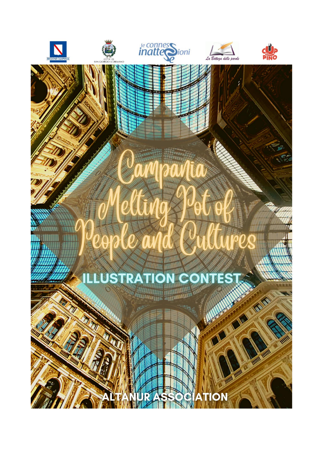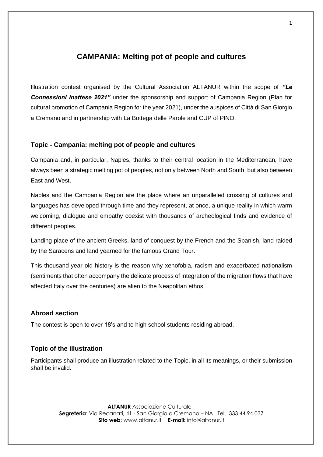# **CAMPANIA: Melting pot of people and cultures**

Illustration contest organised by the Cultural Association ALTANUR within the scope of *"Le Connessioni Inattese 2021"* under the sponsorship and support of Campania Region (Plan for cultural promotion of Campania Region for the year 2021), under the auspices of Città di San Giorgio a Cremano and in partnership with La Bottega delle Parole and CUP of PINO.

## **Topic - Campania: melting pot of people and cultures**

Campania and, in particular, Naples, thanks to their central location in the Mediterranean, have always been a strategic melting pot of peoples, not only between North and South, but also between East and West.

Naples and the Campania Region are the place where an unparalleled crossing of cultures and languages has developed through time and they represent, at once, a unique reality in which warm welcoming, dialogue and empathy coexist with thousands of archeological finds and evidence of different peoples.

Landing place of the ancient Greeks, land of conquest by the French and the Spanish, land raided by the Saracens and land yearned for the famous Grand Tour.

This thousand-year old history is the reason why xenofobia, racism and exacerbated nationalism (sentiments that often accompany the delicate process of integration of the migration flows that have affected Italy over the centuries) are alien to the Neapolitan ethos.

#### **Abroad section**

The contest is open to over 18's and to high school students residing abroad.

### **Topic of the illustration**

Participants shall produce an illustration related to the Topic, in all its meanings, or their submission shall be invalid.

> **ALTANUR** Associazione Culturale **Segreteria**: Via Recanati, 41 - San Giorgio a Cremano – NA Tel. 333 44 94 037 **Sito web**: www.altanur.it **E-mail:** info@altanur.it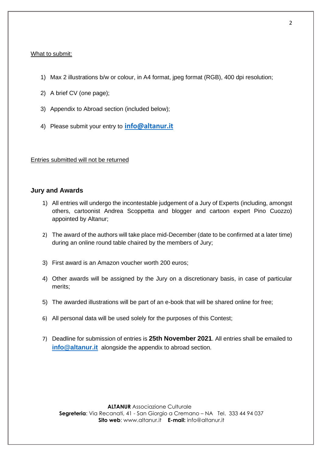#### What to submit:

- 1) Max 2 illustrations b/w or colour, in A4 format, jpeg format (RGB), 400 dpi resolution;
- 2) A brief CV (one page);
- 3) Appendix to Abroad section (included below);
- 4) Please submit your entry to **[info@altanur.it](mailto:info@altanur.it)**

Entries submitted will not be returned

#### **Jury and Awards**

- 1) All entries will undergo the incontestable judgement of a Jury of Experts (including, amongst others, cartoonist Andrea Scoppetta and blogger and cartoon expert Pino Cuozzo) appointed by Altanur;
- 2) The award of the authors will take place mid-December (date to be confirmed at a later time) during an online round table chaired by the members of Jury;
- 3) First award is an Amazon voucher worth 200 euros;
- 4) Other awards will be assigned by the Jury on a discretionary basis, in case of particular merits;
- 5) The awarded illustrations will be part of an e-book that will be shared online for free;
- 6) All personal data will be used solely for the purposes of this Contest;
- 7) Deadline for submission of entries is **25th November 2021**. All entries shall be emailed to **[info@altanur.it](mailto:info@altanur.it)** alongside the appendix to abroad section.

**ALTANUR** Associazione Culturale **Segreteria**: Via Recanati, 41 - San Giorgio a Cremano – NA Tel. 333 44 94 037 **Sito web**: www.altanur.it **E-mail:** info@altanur.it